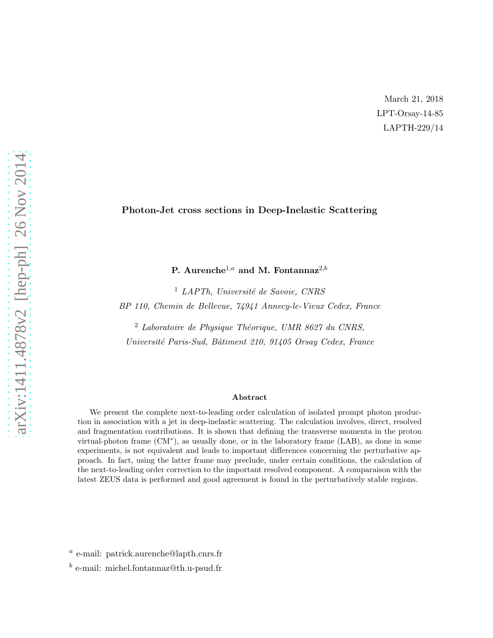March 21, 2018 LPT-Orsay-14-85 LAPTH-229/14

## Photon-Jet cross sections in Deep-Inelastic Scattering

P. Aurenche<sup>1,a</sup> and M. Fontannaz<sup>2,b</sup>

 $<sup>1</sup>$  LAPTh, Université de Savoie, CNRS</sup> BP 110, Chemin de Bellevue, 74941 Annecy-le-Vieux Cedex, France

 $2$  Laboratoire de Physique Théorique, UMR 8627 du CNRS, Université Paris-Sud, Bâtiment 210, 91405 Orsay Cedex, France

#### Abstract

We present the complete next-to-leading order calculation of isolated prompt photon production in association with a jet in deep-inelastic scattering. The calculation involves, direct, resolved and fragmentation contributions. It is shown that defining the transverse momenta in the proton virtual-photon frame (CM<sup>∗</sup> ), as usually done, or in the laboratory frame (LAB), as done in some experiments, is not equivalent and leads to important differences concerning the perturbative approach. In fact, using the latter frame may preclude, under certain conditions, the calculation of the next-to-leading order correction to the important resolved component. A comparaison with the latest ZEUS data is performed and good agreement is found in the perturbatively stable regions.

a e-mail: patrick.aurenche@lapth.cnrs.fr

b e-mail: michel.fontannaz@th.u-psud.fr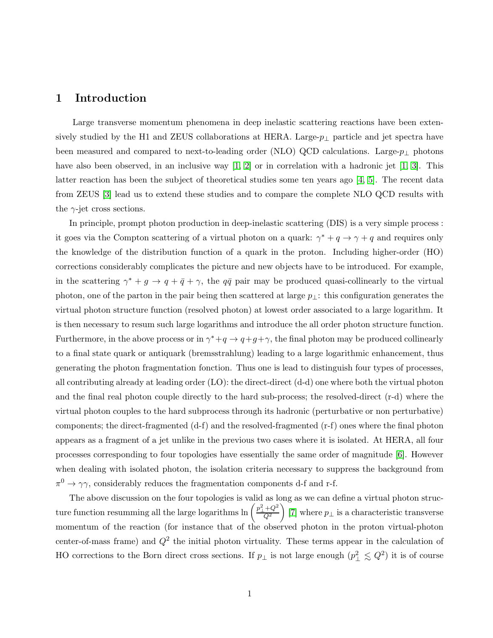# 1 Introduction

Large transverse momentum phenomena in deep inelastic scattering reactions have been extensively studied by the H1 and ZEUS collaborations at HERA. Large- $p_{\perp}$  particle and jet spectra have been measured and compared to next-to-leading order (NLO) QCD calculations. Large- $p_{\perp}$  photons have also been observed, in an inclusive way  $[1, 2]$  or in correlation with a hadronic jet  $[1, 3]$ . This latter reaction has been the subject of theoretical studies some ten years ago [4, 5]. The recent data from ZEUS [3] lead us to extend these studies and to compare the complete NLO QCD results with the  $\gamma$ -jet cross sections.

In principle, prompt photon production in deep-inelastic scattering (DIS) is a very simple process : it goes via the Compton scattering of a virtual photon on a quark:  $\gamma^* + q \to \gamma + q$  and requires only the knowledge of the distribution function of a quark in the proton. Including higher-order (HO) corrections considerably complicates the picture and new objects have to be introduced. For example, in the scattering  $\gamma^* + g \to q + \bar{q} + \gamma$ , the  $q\bar{q}$  pair may be produced quasi-collinearly to the virtual photon, one of the parton in the pair being then scattered at large  $p_{\perp}$ : this configuration generates the virtual photon structure function (resolved photon) at lowest order associated to a large logarithm. It is then necessary to resum such large logarithms and introduce the all order photon structure function. Furthermore, in the above process or in  $\gamma^* + q \to q + g + \gamma$ , the final photon may be produced collinearly to a final state quark or antiquark (bremsstrahlung) leading to a large logarithmic enhancement, thus generating the photon fragmentation fonction. Thus one is lead to distinguish four types of processes, all contributing already at leading order (LO): the direct-direct (d-d) one where both the virtual photon and the final real photon couple directly to the hard sub-process; the resolved-direct (r-d) where the virtual photon couples to the hard subprocess through its hadronic (perturbative or non perturbative) components; the direct-fragmented (d-f) and the resolved-fragmented (r-f) ones where the final photon appears as a fragment of a jet unlike in the previous two cases where it is isolated. At HERA, all four processes corresponding to four topologies have essentially the same order of magnitude [6]. However when dealing with isolated photon, the isolation criteria necessary to suppress the background from  $\pi^0 \to \gamma \gamma$ , considerably reduces the fragmentation components d-f and r-f.

The above discussion on the four topologies is valid as long as we can define a virtual photon structure function resumming all the large logarithms  $\ln\left(\frac{p_\perp^2+Q^2}{Q^2}\right)$  $\overline{Q^2}$  $\overline{ }$ [7] where  $p_{\perp}$  is a characteristic transverse momentum of the reaction (for instance that of the observed photon in the proton virtual-photon center-of-mass frame) and  $Q^2$  the initial photon virtuality. These terms appear in the calculation of HO corrections to the Born direct cross sections. If  $p_{\perp}$  is not large enough  $(p_{\perp}^2 \leq Q^2)$  it is of course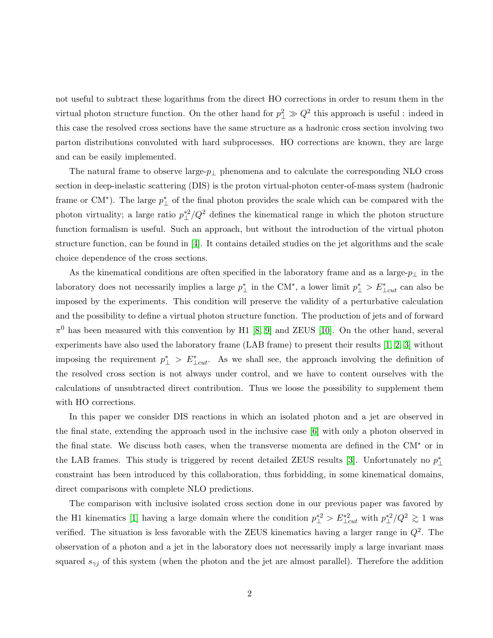not useful to subtract these logarithms from the direct HO corrections in order to resum them in the virtual photon structure function. On the other hand for  $p_{\perp}^2 \gg Q^2$  this approach is useful: indeed in this case the resolved cross sections have the same structure as a hadronic cross section involving two parton distributions convoluted with hard subprocesses. HO corrections are known, they are large and can be easily implemented.

The natural frame to observe large- $p_{\perp}$  phenomena and to calculate the corresponding NLO cross section in deep-inelastic scattering (DIS) is the proton virtual-photon center-of-mass system (hadronic frame or CM<sup>\*</sup>). The large  $p_{\perp}^*$  of the final photon provides the scale which can be compared with the photon virtuality; a large ratio  $p_{\perp}^{*2}/Q^2$  defines the kinematical range in which the photon structure function formalism is useful. Such an approach, but without the introduction of the virtual photon structure function, can be found in [4]. It contains detailed studies on the jet algorithms and the scale choice dependence of the cross sections.

As the kinematical conditions are often specified in the laboratory frame and as a large- $p_{\perp}$  in the laboratory does not necessarily implies a large  $p_{\perp}^*$  in the CM<sup>\*</sup>, a lower limit  $p_{\perp}^* > E_{\perp cut}^*$  can also be imposed by the experiments. This condition will preserve the validity of a perturbative calculation and the possibility to define a virtual photon structure function. The production of jets and of forward  $\pi^0$  has been measured with this convention by H1 [\[8,](#page-18-1) [9\]](#page-18-2) and ZEUS [\[10\]](#page-18-3). On the other hand, several experiments have also used the laboratory frame (LAB frame) to present their results [\[1,](#page-18-0) 2, 3] without imposing the requirement  $p^*_{\perp} > E^*_{\perp cut}$ . As we shall see, the approach involving the definition of the resolved cross section is not always under control, and we have to content ourselves with the calculations of unsubtracted direct contribution. Thus we loose the possibility to supplement them with HO corrections.

In this paper we consider DIS reactions in which an isolated photon and a jet are observed in the final state, extending the approach used in the inclusive case [6] with only a photon observed in the final state. We discuss both cases, when the transverse momenta are defined in the CM<sup>∗</sup> or in the LAB frames. This study is triggered by recent detailed ZEUS results [3]. Unfortunately no  $p_{\perp}^{*}$ constraint has been introduced by this collaboration, thus forbidding, in some kinematical domains, direct comparisons with complete NLO predictions.

The comparison with inclusive isolated cross section done in our previous paper was favored by the H1 kinematics [\[1\]](#page-18-0) having a large domain where the condition  $p_{\perp}^{*2} > E_{\perp cut}^{*2}$  with  $p_{\perp}^{*2}/Q^2 \gtrsim 1$  was verified. The situation is less favorable with the ZEUS kinematics having a larger range in  $Q^2$ . The observation of a photon and a jet in the laboratory does not necessarily imply a large invariant mass squared  $s_{\gamma j}$  of this system (when the photon and the jet are almost parallel). Therefore the addition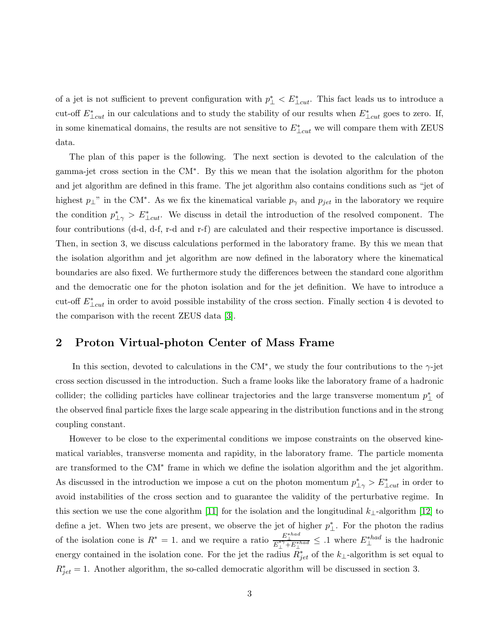of a jet is not sufficient to prevent configuration with  $p^*_{\perp} < E^*_{\perp cut}$ . This fact leads us to introduce a cut-off  $E^*_{\perp cut}$  in our calculations and to study the stability of our results when  $E^*_{\perp cut}$  goes to zero. If, in some kinematical domains, the results are not sensitive to  $E^*_{\perp cut}$  we will compare them with ZEUS data.

The plan of this paper is the following. The next section is devoted to the calculation of the gamma-jet cross section in the CM<sup>∗</sup> . By this we mean that the isolation algorithm for the photon and jet algorithm are defined in this frame. The jet algorithm also contains conditions such as "jet of highest  $p_{\perp}$ " in the CM<sup>\*</sup>. As we fix the kinematical variable  $p_{\gamma}$  and  $p_{jet}$  in the laboratory we require the condition  $p^*_{\perp \gamma} > E^*_{\perp cut}$ . We discuss in detail the introduction of the resolved component. The four contributions (d-d, d-f, r-d and r-f) are calculated and their respective importance is discussed. Then, in section 3, we discuss calculations performed in the laboratory frame. By this we mean that the isolation algorithm and jet algorithm are now defined in the laboratory where the kinematical boundaries are also fixed. We furthermore study the differences between the standard cone algorithm and the democratic one for the photon isolation and for the jet definition. We have to introduce a cut-off  $E^*_{\perp cut}$  in order to avoid possible instability of the cross section. Finally section 4 is devoted to the comparison with the recent ZEUS data [3].

# 2 Proton Virtual-photon Center of Mass Frame

In this section, devoted to calculations in the CM<sup>\*</sup>, we study the four contributions to the  $\gamma$ -jet cross section discussed in the introduction. Such a frame looks like the laboratory frame of a hadronic collider; the colliding particles have collinear trajectories and the large transverse momentum  $p_{\perp}^*$  of the observed final particle fixes the large scale appearing in the distribution functions and in the strong coupling constant.

However to be close to the experimental conditions we impose constraints on the observed kinematical variables, transverse momenta and rapidity, in the laboratory frame. The particle momenta are transformed to the CM<sup>∗</sup> frame in which we define the isolation algorithm and the jet algorithm. As discussed in the introduction we impose a cut on the photon momentum  $p_{\perp \gamma}^* > E_{\perp cut}^*$  in order to avoid instabilities of the cross section and to guarantee the validity of the perturbative regime. In this section we use the cone algorithm [11] for the isolation and the longitudinal  $k_{\perp}$ -algorithm [12] to define a jet. When two jets are present, we observe the jet of higher  $p_{\perp}^*$ . For the photon the radius of the isolation cone is  $R^* = 1$ . and we require a ratio  $\frac{E_1^{*}$  +  $E_1^{*}$  =  $\frac{1}{E_1^{*}$  +  $E_1^{*}$  =  $\frac{1}{E_1^{*}$  =  $\frac{1}{E_1^{*}$  =  $\frac{1}{E_1^{*}$  =  $\frac{1}{E_1^{*}$  =  $\frac{1}{E_1^{*}}}$  =  $\frac{1}{E_1^{*}$  =  $\frac{1}{E_1^{*}$  = energy contained in the isolation cone. For the jet the radius  $\overline{R}_{jet}^*$  of the k<sub>⊥</sub>-algorithm is set equal to  $R_{jet}^* = 1$ . Another algorithm, the so-called democratic algorithm will be discussed in section 3.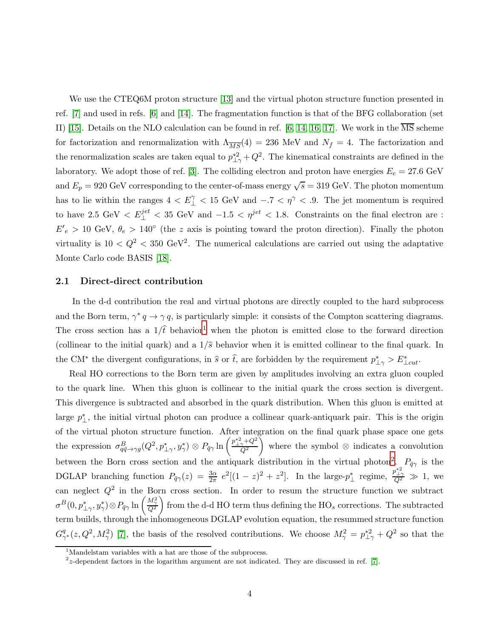We use the CTEQ6M proton structure [13] and the virtual photon structure function presented in ref. [7] and used in refs. [6] and [14]. The fragmentation function is that of the BFG collaboration (set II) [15]. Details on the NLO calculation can be found in ref. [6, 14, 16, 17]. We work in the  $\overline{\text{MS}}$  scheme for factorization and renormalization with  $\Lambda_{\overline{MS}}(4) = 236$  MeV and  $N_f = 4$ . The factorization and the renormalization scales are taken equal to  $p_{\perp \gamma}^{*2} + Q^2$ . The kinematical constraints are defined in the laboratory. We adopt those of ref. [3]. The colliding electron and proton have energies  $E_e = 27.6 \text{ GeV}$ and  $E_p = 920 \text{ GeV}$  corresponding to the center-of-mass energy  $\sqrt{s} = 319 \text{ GeV}$ . The photon momentum has to lie within the ranges  $4 < E_{\perp}^{\gamma} < 15$  GeV and  $-.7 < \eta^{\gamma} < .9$ . The jet momentum is required to have 2.5 GeV  $\lt E_{\perp}^{jet}$   $\lt$  35 GeV and  $-1.5 \lt \eta^{jet}$   $\lt$  1.8. Constraints on the final electron are :  $E'_{e} > 10$  GeV,  $\theta_{e} > 140^{\circ}$  (the z axis is pointing toward the proton direction). Finally the photon virtuality is  $10 < Q^2 < 350$  GeV<sup>2</sup>. The numerical calculations are carried out using the adaptative Monte Carlo code BASIS [18].

#### 2.1 Direct-direct contribution

In the d-d contribution the real and virtual photons are directly coupled to the hard subprocess and the Born term,  $\gamma^* q \to \gamma q$ , is particularly simple: it consists of the Compton scattering diagrams. The cross section has a  $1/\hat{t}$  $1/\hat{t}$  behavior<sup>1</sup> when the photon is emitted close to the forward direction (collinear to the initial quark) and a  $1/\hat{s}$  behavior when it is emitted collinear to the final quark. In the CM<sup>∗</sup> the divergent configurations, in  $\hat{s}$  or  $\hat{t}$ , are forbidden by the requirement  $p^*_{\perp\gamma} > E^*_{\perp cut}$ .

Real HO corrections to the Born term are given by amplitudes involving an extra gluon coupled to the quark line. When this gluon is collinear to the initial quark the cross section is divergent. This divergence is subtracted and absorbed in the quark distribution. When this gluon is emitted at large  $p_{\perp}^*$ , the initial virtual photon can produce a collinear quark-antiquark pair. This is the origin of the virtual photon structure function. After integration on the final quark phase space one gets the expression  $\sigma_{q\bar{q}\to\gamma g}^B(Q^2, p_{\perp\gamma}^*, y_\gamma^*)\otimes P_{\bar{q}\gamma}$  ln  $\left(\frac{p_{\perp\gamma}^{*2}+Q^2}{Q^2}\right)$  $\overleftarrow{Q}^2$ Ň where the symbol ⊗ indicates a convolution between the Born cross section and the antiquark distribution in the virtual photon<sup>[2](#page-4-1)</sup>.  $P_{\bar{q}\gamma}$  is the DGLAP branching function  $P_{\bar{q}\gamma}(z) = \frac{3\alpha}{2\pi} e^2[(1-z)^2 + z^2]$ . In the large- $p_{\perp}^*$  regime,  $\frac{p_{\perp}^{*2}}{Q^2} \gg 1$ , we can neglect  $Q^2$  in the Born cross section. In order to resum the structure function we subtract  $\sigma^B(0,p_{\perp\gamma}^*,y_\gamma^*)\!\otimes\! P_{\bar{q}\gamma}\ln\left(\frac{M_\gamma^2}{Q^2}\right)$  $\overline{ }$ from the d-d HO term thus defining the  $HO_s$  corrections. The subtracted term builds, through the inhomogeneous DGLAP evolution equation, the resummed structure function  $G^q_{\gamma}$  $\frac{q}{\gamma^*}(z, Q^2, M_\gamma^2)$  [7], the basis of the resolved contributions. We choose  $M_\gamma^2 = p_{\perp\gamma}^{*2} + Q^2$  so that the

<sup>&</sup>lt;sup>1</sup>Mandelstam variables with a hat are those of the subprocess.

<span id="page-4-1"></span><span id="page-4-0"></span> $2z$ -dependent factors in the logarithm argument are not indicated. They are discussed in ref. [7].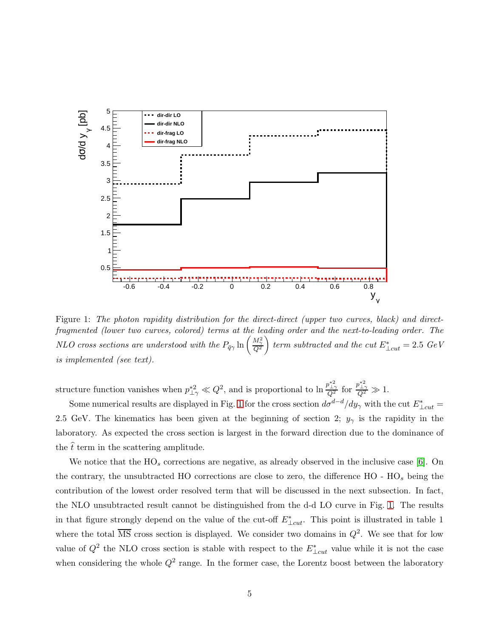

Figure 1: The photon rapidity distribution for the direct-direct (upper two curves, black) and directfragmented (lower two curves, colored) terms at the leading order and the next-to-leading order. The NLO cross sections are understood with the  $P_{\bar{q}\gamma}$  ln  $\left(\frac{M_{\gamma}^{2}}{Q^{2}}\right)$  $\text{ term subtracted and the cut } E^*_{\perp cut} = 2.5 \text{ GeV}$ is implemented (see text).

structure function vanishes when  $p_{\perp \gamma}^{*2} \ll Q^2$ , and is proportional to  $\ln \frac{p_{\perp \gamma}^{*2}}{Q^2}$  for  $\frac{p_{\perp \gamma}^{*2}}{Q^2} \gg 1$ .

Some numerical results are displayed in Fig. 1 for the cross section  $d\sigma^{d-d}/dy_\gamma$  with the cut  $E^*_{\perp cut}$ 2.5 GeV. The kinematics has been given at the beginning of section 2;  $y_{\gamma}$  is the rapidity in the laboratory. As expected the cross section is largest in the forward direction due to the dominance of the  $\hat{t}$  term in the scattering amplitude.

We notice that the  $HO_s$  corrections are negative, as already observed in the inclusive case [6]. On the contrary, the unsubtracted HO corrections are close to zero, the difference  $HO - HO<sub>s</sub>$  being the contribution of the lowest order resolved term that will be discussed in the next subsection. In fact, the NLO unsubtracted result cannot be distinguished from the d-d LO curve in Fig. 1. The results in that figure strongly depend on the value of the cut-off  $E^*_{\perp cut}$ . This point is illustrated in table 1 where the total  $\overline{\text{MS}}$  cross section is displayed. We consider two domains in  $Q^2$ . We see that for low value of  $Q^2$  the NLO cross section is stable with respect to the  $E^*_{\perp cut}$  value while it is not the case when considering the whole  $Q^2$  range. In the former case, the Lorentz boost between the laboratory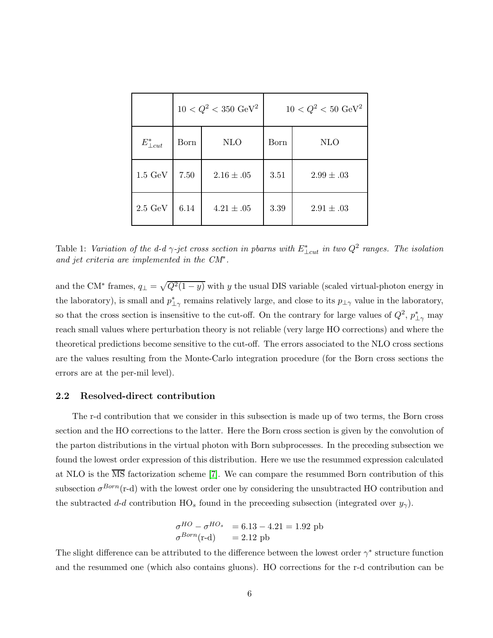|                    |      | $10 < Q^2 < 350 \text{ GeV}^2$ | $10 < Q^2 < 50 \text{ GeV}^2$ |                |  |
|--------------------|------|--------------------------------|-------------------------------|----------------|--|
| $E^*_{\perp cut}$  | Born | <b>NLO</b>                     | Born                          | NLO            |  |
| $1.5~\mathrm{GeV}$ | 7.50 | $2.16 \pm .05$                 | 3.51                          | $2.99 \pm .03$ |  |
| $2.5~\mathrm{GeV}$ | 6.14 | $4.21 \pm .05$                 | 3.39                          | $2.91 \pm .03$ |  |

Table 1: Variation of the d-d  $\gamma$ -jet cross section in pbarns with  $E^*_{\perp cut}$  in two  $Q^2$  ranges. The isolation and jet criteria are implemented in the CM<sup>∗</sup> .

and the CM<sup>\*</sup> frames,  $q_{\perp} = \sqrt{Q^2(1-y)}$  with y the usual DIS variable (scaled virtual-photon energy in the laboratory), is small and  $p_{\perp\gamma}^*$  remains relatively large, and close to its  $p_{\perp\gamma}$  value in the laboratory, so that the cross section is insensitive to the cut-off. On the contrary for large values of  $Q^2$ ,  $p_{\perp\gamma}^*$  may reach small values where perturbation theory is not reliable (very large HO corrections) and where the theoretical predictions become sensitive to the cut-off. The errors associated to the NLO cross sections are the values resulting from the Monte-Carlo integration procedure (for the Born cross sections the errors are at the per-mil level).

### 2.2 Resolved-direct contribution

The r-d contribution that we consider in this subsection is made up of two terms, the Born cross section and the HO corrections to the latter. Here the Born cross section is given by the convolution of the parton distributions in the virtual photon with Born subprocesses. In the preceding subsection we found the lowest order expression of this distribution. Here we use the resummed expression calculated at NLO is the  $\overline{\text{MS}}$  factorization scheme [7]. We can compare the resummed Born contribution of this subsection  $\sigma^{Born}$ (r-d) with the lowest order one by considering the unsubtracted HO contribution and the subtracted d-d contribution  $HO_s$  found in the preceeding subsection (integrated over  $y_\gamma$ ).

$$
\begin{array}{ll}\n\sigma^{HO} - \sigma^{HO_s} & = 6.13 - 4.21 = 1.92 \text{ pb} \\
\sigma^{Born}(\text{r-d}) & = 2.12 \text{ pb}\n\end{array}
$$

The slight difference can be attributed to the difference between the lowest order  $\gamma^*$  structure function and the resummed one (which also contains gluons). HO corrections for the r-d contribution can be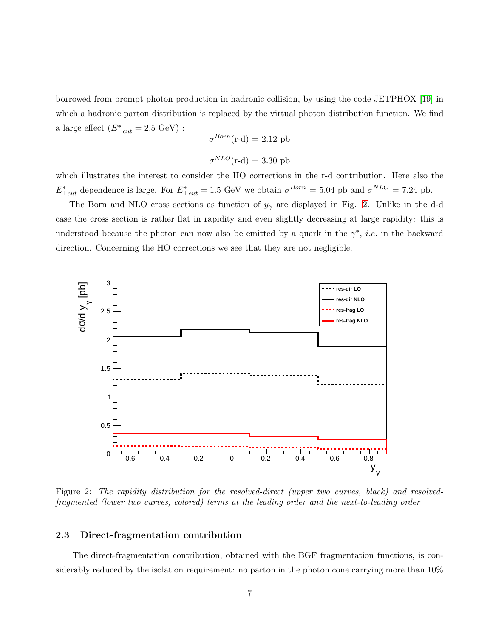borrowed from prompt photon production in hadronic collision, by using the code JETPHOX [19] in which a hadronic parton distribution is replaced by the virtual photon distribution function. We find a large effect  $(E^*_{\perp cut} = 2.5 \text{ GeV})$ :

$$
\sigma^{Born}(\text{r-d}) = 2.12 \text{ pb}
$$

$$
\sigma^{NLO}(\text{r-d}) = 3.30 \text{ pb}
$$

which illustrates the interest to consider the HO corrections in the r-d contribution. Here also the  $E^*_{\perp cut}$  dependence is large. For  $E^*_{\perp cut} = 1.5$  GeV we obtain  $\sigma^{Born} = 5.04$  pb and  $\sigma^{NLO} = 7.24$  pb.

The Born and NLO cross sections as function of  $y_{\gamma}$  are displayed in Fig. 2. Unlike in the d-d case the cross section is rather flat in rapidity and even slightly decreasing at large rapidity: this is understood because the photon can now also be emitted by a quark in the  $\gamma^*$ , *i.e.* in the backward direction. Concerning the HO corrections we see that they are not negligible.



Figure 2: The rapidity distribution for the resolved-direct (upper two curves, black) and resolvedfragmented (lower two curves, colored) terms at the leading order and the next-to-leading order

### 2.3 Direct-fragmentation contribution

The direct-fragmentation contribution, obtained with the BGF fragmentation functions, is considerably reduced by the isolation requirement: no parton in the photon cone carrying more than 10%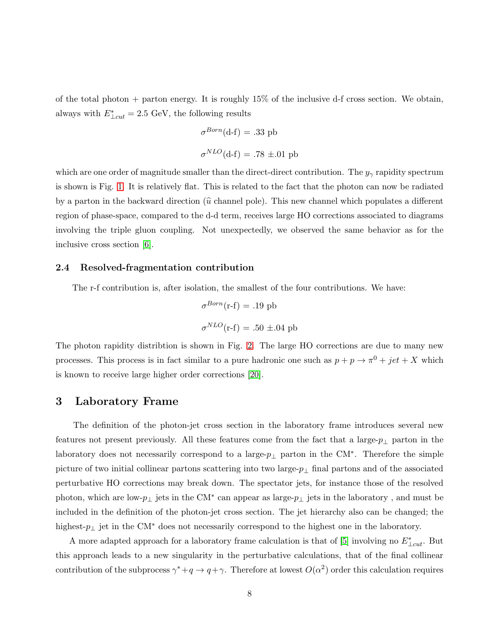of the total photon  $+$  parton energy. It is roughly 15% of the inclusive d-f cross section. We obtain, always with  $E^*_{\perp cut} = 2.5$  GeV, the following results

$$
\sigma^{Born}(\text{d-f}) = .33 \text{ pb}
$$
  

$$
\sigma^{NLO}(\text{d-f}) = .78 \pm .01 \text{ pb}
$$

which are one order of magnitude smaller than the direct-direct contribution. The  $y_{\gamma}$  rapidity spectrum is shown is Fig. 1. It is relatively flat. This is related to the fact that the photon can now be radiated by a parton in the backward direction ( $\hat{u}$  channel pole). This new channel which populates a different region of phase-space, compared to the d-d term, receives large HO corrections associated to diagrams involving the triple gluon coupling. Not unexpectedly, we observed the same behavior as for the inclusive cross section [6].

#### 2.4 Resolved-fragmentation contribution

The r-f contribution is, after isolation, the smallest of the four contributions. We have:

$$
\sigma^{Born}(\text{r-f}) = .19 \text{ pb}
$$

$$
\sigma^{NLO}(\text{r-f}) = .50 \pm .04 \text{ pb}
$$

The photon rapidity distribtion is shown in Fig. 2. The large HO corrections are due to many new processes. This process is in fact similar to a pure hadronic one such as  $p + p \rightarrow \pi^0 + jet + X$  which is known to receive large higher order corrections [20].

## 3 Laboratory Frame

The definition of the photon-jet cross section in the laboratory frame introduces several new features not present previously. All these features come from the fact that a large- $p_{\perp}$  parton in the laboratory does not necessarily correspond to a large- $p_{\perp}$  parton in the CM<sup>\*</sup>. Therefore the simple picture of two initial collinear partons scattering into two large- $p_{\perp}$  final partons and of the associated perturbative HO corrections may break down. The spectator jets, for instance those of the resolved photon, which are low- $p_{\perp}$  jets in the CM<sup>\*</sup> can appear as large- $p_{\perp}$  jets in the laboratory, and must be included in the definition of the photon-jet cross section. The jet hierarchy also can be changed; the highest-p<sup>⊥</sup> jet in the CM<sup>∗</sup> does not necessarily correspond to the highest one in the laboratory.

A more adapted approach for a laboratory frame calculation is that of [5] involving no  $E^*_{\perp cut}$ . But this approach leads to a new singularity in the perturbative calculations, that of the final collinear contribution of the subprocess  $\gamma^* + q \to q + \gamma$ . Therefore at lowest  $O(\alpha^2)$  order this calculation requires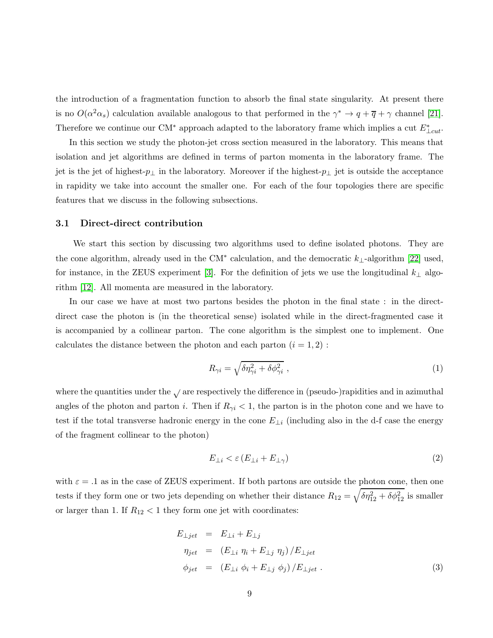the introduction of a fragmentation function to absorb the final state singularity. At present there is no  $O(\alpha^2 \alpha_s)$  calculation available analogous to that performed in the  $\gamma^* \to q + \overline{q} + \gamma$  channel [21]. Therefore we continue our CM<sup>∗</sup> approach adapted to the laboratory frame which implies a cut  $E^*_{\perp cut}$ .

In this section we study the photon-jet cross section measured in the laboratory. This means that isolation and jet algorithms are defined in terms of parton momenta in the laboratory frame. The jet is the jet of highest- $p_{\perp}$  in the laboratory. Moreover if the highest- $p_{\perp}$  jet is outside the acceptance in rapidity we take into account the smaller one. For each of the four topologies there are specific features that we discuss in the following subsections.

### 3.1 Direct-direct contribution

We start this section by discussing two algorithms used to define isolated photons. They are the cone algorithm, already used in the CM<sup>∗</sup> calculation, and the democratic  $k_{\perp}$ -algorithm [22] used, for instance, in the ZEUS experiment [3]. For the definition of jets we use the longitudinal  $k_{\perp}$  algorithm [12]. All momenta are measured in the laboratory.

In our case we have at most two partons besides the photon in the final state : in the directdirect case the photon is (in the theoretical sense) isolated while in the direct-fragmented case it is accompanied by a collinear parton. The cone algorithm is the simplest one to implement. One calculates the distance between the photon and each parton  $(i = 1, 2)$ :

$$
R_{\gamma i} = \sqrt{\delta \eta_{\gamma i}^2 + \delta \phi_{\gamma i}^2} \tag{1}
$$

where the quantities under the  $\sqrt{ }$  are respectively the difference in (pseudo-)rapidities and in azimuthal angles of the photon and parton *i*. Then if  $R_{\gamma i} < 1$ , the parton is in the photon cone and we have to test if the total transverse hadronic energy in the cone  $E_{\perp i}$  (including also in the d-f case the energy of the fragment collinear to the photon)

$$
E_{\perp i} < \varepsilon \left( E_{\perp i} + E_{\perp \gamma} \right) \tag{2}
$$

with  $\varepsilon = 0.1$  as in the case of ZEUS experiment. If both partons are outside the photon cone, then one tests if they form one or two jets depending on whether their distance  $R_{12} = \sqrt{\delta \eta_{12}^2 + \delta \phi_{12}^2}$  is smaller or larger than 1. If  $R_{12}$  < 1 they form one jet with coordinates:

$$
E_{\perp jet} = E_{\perp i} + E_{\perp j}
$$
  
\n
$$
\eta_{jet} = (E_{\perp i} \eta_i + E_{\perp j} \eta_j) / E_{\perp jet}
$$
  
\n
$$
\phi_{jet} = (E_{\perp i} \phi_i + E_{\perp j} \phi_j) / E_{\perp jet} .
$$
\n(3)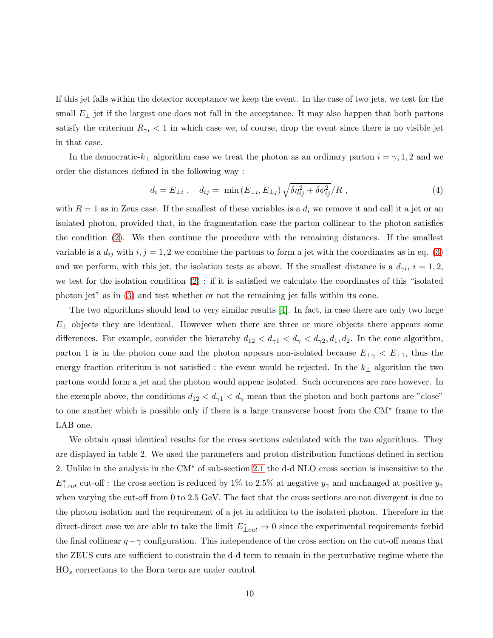If this jet falls within the detector acceptance we keep the event. In the case of two jets, we test for the small  $E_{\perp}$  jet if the largest one does not fall in the acceptance. It may also happen that both partons satisfy the criterium  $R_{\gamma i}$  < 1 in which case we, of course, drop the event since there is no visible jet in that case.

In the democratic- $k_{\perp}$  algorithm case we treat the photon as an ordinary parton  $i = \gamma, 1, 2$  and we order the distances defined in the following way :

$$
d_i = E_{\perp i} , \quad d_{ij} = \min(E_{\perp i}, E_{\perp j}) \sqrt{\delta \eta_{ij}^2 + \delta \phi_{ij}^2} / R , \qquad (4)
$$

with  $R = 1$  as in Zeus case. If the smallest of these variables is a  $d_i$  we remove it and call it a jet or an isolated photon, provided that, in the fragmentation case the parton collinear to the photon satisfies the condition (2). We then continue the procedure with the remaining distances. If the smallest variable is a  $d_{ij}$  with  $i, j = 1, 2$  we combine the partons to form a jet with the coordinates as in eq. (3) and we perform, with this jet, the isolation tests as above. If the smallest distance is a  $d_{\gamma i}$ ,  $i = 1, 2$ , we test for the isolation condition (2) : if it is satisfied we calculate the coordinates of this "isolated photon jet" as in (3) and test whether or not the remaining jet falls within its cone.

The two algorithms should lead to very similar results [4]. In fact, in case there are only two large  $E_{\perp}$  objects they are identical. However when there are three or more objects there appears some differences. For example, consider the hierarchy  $d_{12} < d_{\gamma1} < d_{\gamma} < d_{\gamma2}$ ,  $d_1, d_2$ . In the cone algorithm, parton 1 is in the photon cone and the photon appears non-isolated because  $E_{\perp \gamma} < E_{\perp 1}$ , thus the energy fraction criterium is not satisfied : the event would be rejected. In the  $k_{\perp}$  algorithm the two partons would form a jet and the photon would appear isolated. Such occurences are rare however. In the exemple above, the conditions  $d_{12} < d_{\gamma} \leq d_{\gamma}$  mean that the photon and both partons are "close" to one another which is possible only if there is a large transverse boost from the CM<sup>∗</sup> frame to the LAB one.

We obtain quasi identical results for the cross sections calculated with the two algorithms. They are displayed in table 2. We used the parameters and proton distribution functions defined in section 2. Unlike in the analysis in the CM<sup>∗</sup> of sub-section 2.1 the d-d NLO cross section is insensitive to the  $E^*_{\perp cut}$  cut-off : the cross section is reduced by 1% to 2.5% at negative  $y_\gamma$  and unchanged at positive  $y_\gamma$ when varying the cut-off from 0 to 2.5 GeV. The fact that the cross sections are not divergent is due to the photon isolation and the requirement of a jet in addition to the isolated photon. Therefore in the direct-direct case we are able to take the limit  $E^*_{\perp cut} \to 0$  since the experimental requirements forbid the final collinear  $q-\gamma$  configuration. This independence of the cross section on the cut-off means that the ZEUS cuts are sufficient to constrain the d-d term to remain in the perturbative regime where the HO<sup>s</sup> corrections to the Born term are under control.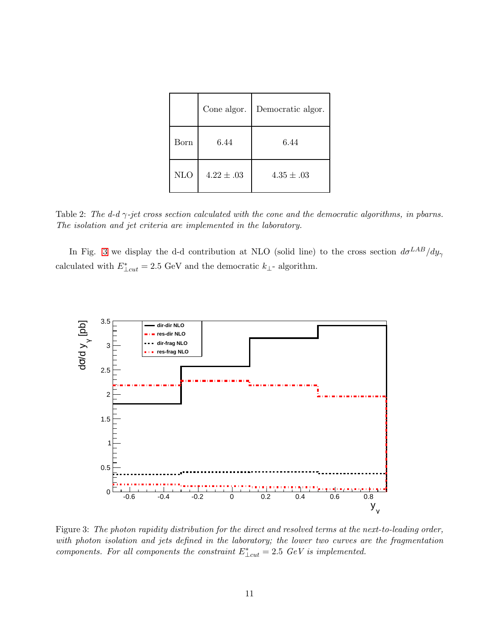|            | Cone algor.    | Democratic algor. |
|------------|----------------|-------------------|
| Born       | 6.44           | 6.44              |
| <b>NLO</b> | $4.22 \pm .03$ | $4.35 \pm .03$    |

Table 2: The d-d  $\gamma$ -jet cross section calculated with the cone and the democratic algorithms, in pbarns. The isolation and jet criteria are implemented in the laboratory.

In Fig. 3 we display the d-d contribution at NLO (solid line) to the cross section  $d\sigma^{LAB}/dy_\gamma$ calculated with  $E^*_{\perp cut} = 2.5$  GeV and the democratic  $k_{\perp}$ - algorithm.



Figure 3: The photon rapidity distribution for the direct and resolved terms at the next-to-leading order, with photon isolation and jets defined in the laboratory; the lower two curves are the fragmentation components. For all components the constraint  $E_{\perp cut}^* = 2.5$  GeV is implemented.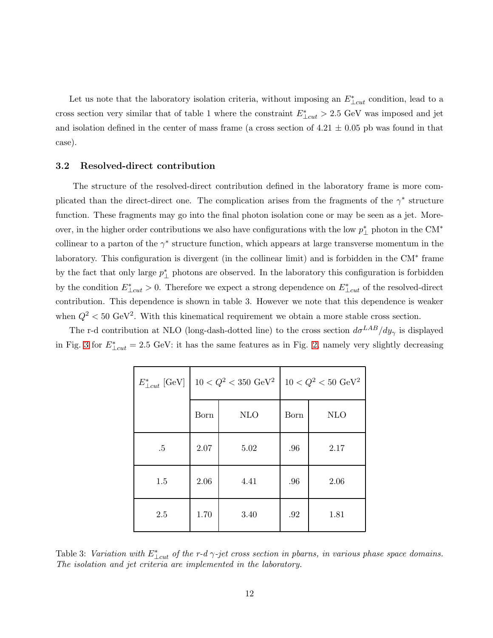Let us note that the laboratory isolation criteria, without imposing an  $E^*_{\perp cut}$  condition, lead to a cross section very similar that of table 1 where the constraint  $E^*_{\perp cut} > 2.5$  GeV was imposed and jet and isolation defined in the center of mass frame (a cross section of  $4.21 \pm 0.05$  pb was found in that case).

### 3.2 Resolved-direct contribution

The structure of the resolved-direct contribution defined in the laboratory frame is more complicated than the direct-direct one. The complication arises from the fragments of the  $\gamma^*$  structure function. These fragments may go into the final photon isolation cone or may be seen as a jet. Moreover, in the higher order contributions we also have configurations with the low  $p_{\perp}^*$  photon in the CM<sup>\*</sup> collinear to a parton of the  $\gamma^*$  structure function, which appears at large transverse momentum in the laboratory. This configuration is divergent (in the collinear limit) and is forbidden in the CM<sup>∗</sup> frame by the fact that only large  $p_{\perp}^*$  photons are observed. In the laboratory this configuration is forbidden by the condition  $E^*_{\perp cut} > 0$ . Therefore we expect a strong dependence on  $E^*_{\perp cut}$  of the resolved-direct contribution. This dependence is shown in table 3. However we note that this dependence is weaker when  $Q^2 < 50 \text{ GeV}^2$ . With this kinematical requirement we obtain a more stable cross section.

The r-d contribution at NLO (long-dash-dotted line) to the cross section  $d\sigma^{LAB}/dy_\gamma$  is displayed in Fig. 3 for  $E^*_{\perp cut} = 2.5$  GeV: it has the same features as in Fig. 2, namely very slightly decreasing

|        | $E^*_{\perp cut}$ [GeV]   10 < $Q^2$ < 350 GeV <sup>2</sup> |            | $10 < Q^2 < 50 \text{ GeV}^2$ |            |
|--------|-------------------------------------------------------------|------------|-------------------------------|------------|
|        | Born                                                        | <b>NLO</b> | Born                          | <b>NLO</b> |
| $.5\,$ | 2.07                                                        | 5.02       | .96                           | 2.17       |
| 1.5    | 2.06                                                        | 4.41       | .96                           | 2.06       |
| 2.5    | 1.70                                                        | 3.40       | .92                           | 1.81       |

Table 3: Variation with  $E^*_{\perp cut}$  of the r-d  $\gamma$ -jet cross section in pbarns, in various phase space domains. The isolation and jet criteria are implemented in the laboratory.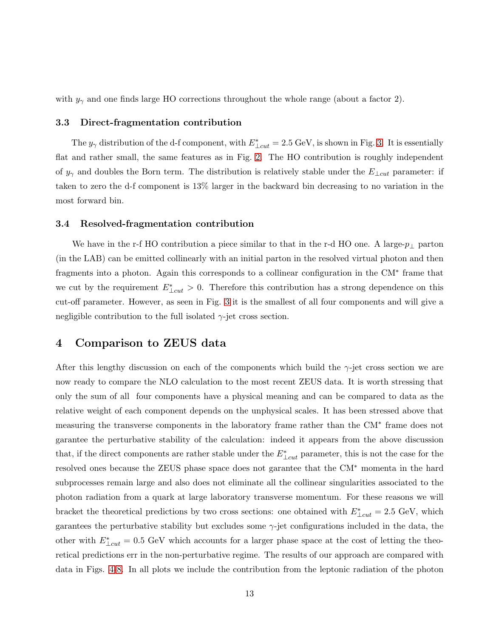with  $y_{\gamma}$  and one finds large HO corrections throughout the whole range (about a factor 2).

#### 3.3 Direct-fragmentation contribution

The  $y_{\gamma}$  distribution of the d-f component, with  $E^*_{\perp cut} = 2.5 \text{ GeV}$ , is shown in Fig. 3. It is essentially flat and rather small, the same features as in Fig. 2. The HO contribution is roughly independent of  $y_{\gamma}$  and doubles the Born term. The distribution is relatively stable under the  $E_{\perp cut}$  parameter: if taken to zero the d-f component is 13% larger in the backward bin decreasing to no variation in the most forward bin.

#### 3.4 Resolved-fragmentation contribution

We have in the r-f HO contribution a piece similar to that in the r-d HO one. A large- $p_{\perp}$  parton (in the LAB) can be emitted collinearly with an initial parton in the resolved virtual photon and then fragments into a photon. Again this corresponds to a collinear configuration in the CM<sup>∗</sup> frame that we cut by the requirement  $E^*_{\perp cut} > 0$ . Therefore this contribution has a strong dependence on this cut-off parameter. However, as seen in Fig. 3 it is the smallest of all four components and will give a negligible contribution to the full isolated  $\gamma$ -jet cross section.

# 4 Comparison to ZEUS data

After this lengthy discussion on each of the components which build the  $\gamma$ -jet cross section we are now ready to compare the NLO calculation to the most recent ZEUS data. It is worth stressing that only the sum of all four components have a physical meaning and can be compared to data as the relative weight of each component depends on the unphysical scales. It has been stressed above that measuring the transverse components in the laboratory frame rather than the CM<sup>∗</sup> frame does not garantee the perturbative stability of the calculation: indeed it appears from the above discussion that, if the direct components are rather stable under the  $E^*_{\perp cut}$  parameter, this is not the case for the resolved ones because the ZEUS phase space does not garantee that the CM<sup>∗</sup> momenta in the hard subprocesses remain large and also does not eliminate all the collinear singularities associated to the photon radiation from a quark at large laboratory transverse momentum. For these reasons we will bracket the theoretical predictions by two cross sections: one obtained with  $E^*_{\perp cut} = 2.5$  GeV, which garantees the perturbative stability but excludes some  $\gamma$ -jet configurations included in the data, the other with  $E^*_{\perp cut} = 0.5$  GeV which accounts for a larger phase space at the cost of letting the theoretical predictions err in the non-perturbative regime. The results of our approach are compared with data in Figs. 4-8. In all plots we include the contribution from the leptonic radiation of the photon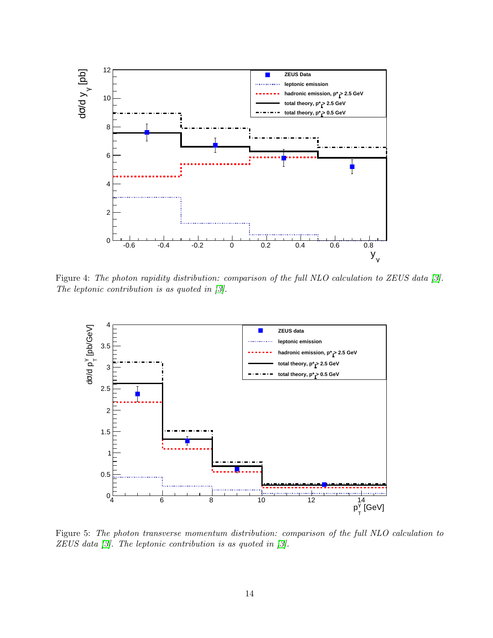

Figure 4: The photon rapidity distribution: comparison of the full NLO calculation to ZEUS data [3]. The leptonic contribution is as quoted in [3].



Figure 5: The photon transverse momentum distribution: comparison of the full NLO calculation to ZEUS data [3]. The leptonic contribution is as quoted in [3].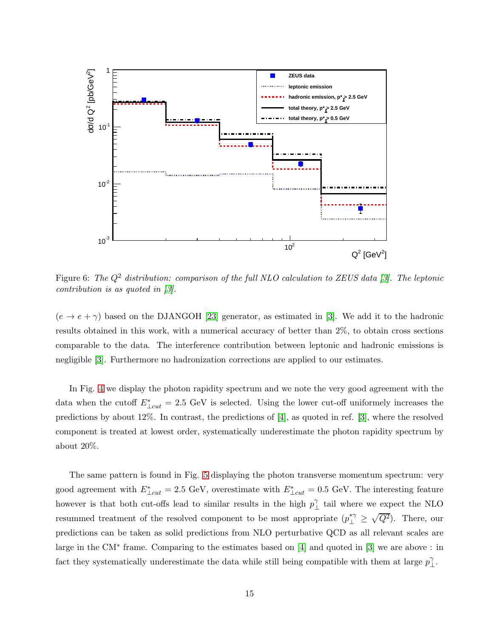

Figure 6: The  $Q^2$  distribution: comparison of the full NLO calculation to ZEUS data [3]. The leptonic contribution is as quoted in [3].

 $(e \rightarrow e + \gamma)$  based on the DJANGOH [23] generator, as estimated in [3]. We add it to the hadronic results obtained in this work, with a numerical accuracy of better than 2%, to obtain cross sections comparable to the data. The interference contribution between leptonic and hadronic emissions is negligible [3]. Furthermore no hadronization corrections are applied to our estimates.

In Fig. 4 we display the photon rapidity spectrum and we note the very good agreement with the data when the cutoff  $E^*_{\perp cut} = 2.5$  GeV is selected. Using the lower cut-off uniformely increases the predictions by about 12%. In contrast, the predictions of [4], as quoted in ref. [3], where the resolved component is treated at lowest order, systematically underestimate the photon rapidity spectrum by about 20%.

The same pattern is found in Fig. 5 displaying the photon transverse momentum spectrum: very good agreement with  $E^*_{\perp cut} = 2.5$  GeV, overestimate with  $E^*_{\perp cut} = 0.5$  GeV. The interesting feature however is that both cut-offs lead to similar results in the high  $p_{\perp}^{\gamma}$  tail where we expect the NLO resummed treatment of the resolved component to be most appropriate  $(p_1^*)$  $\perp^{\ast \gamma} \geq \sqrt{Q^2}$ . There, our predictions can be taken as solid predictions from NLO perturbative QCD as all relevant scales are large in the CM<sup>∗</sup> frame. Comparing to the estimates based on [4] and quoted in [3] we are above : in fact they systematically underestimate the data while still being compatible with them at large  $p_{\perp}^{\gamma}$ .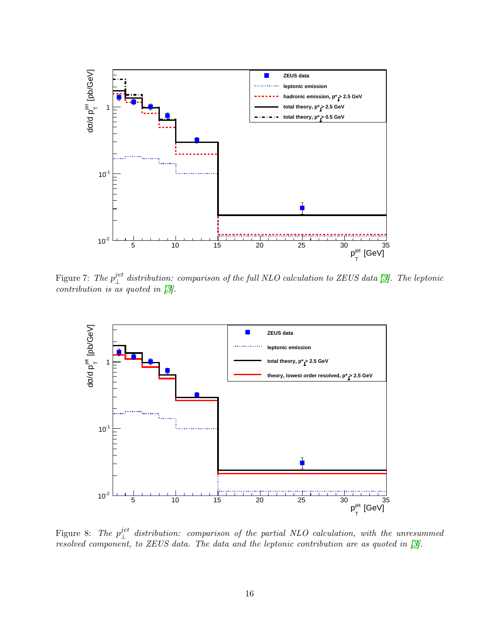

Figure 7: The  $p_{\perp}^{jet}$  distribution: comparison of the full NLO calculation to ZEUS data [3]. The leptonic contribution is as quoted in  $\beta$ .



Figure 8: The  $p_{\perp}^{jet}$  distribution: comparison of the partial NLO calculation, with the unresummed resolved component, to ZEUS data. The data and the leptonic contribution are as quoted in [3].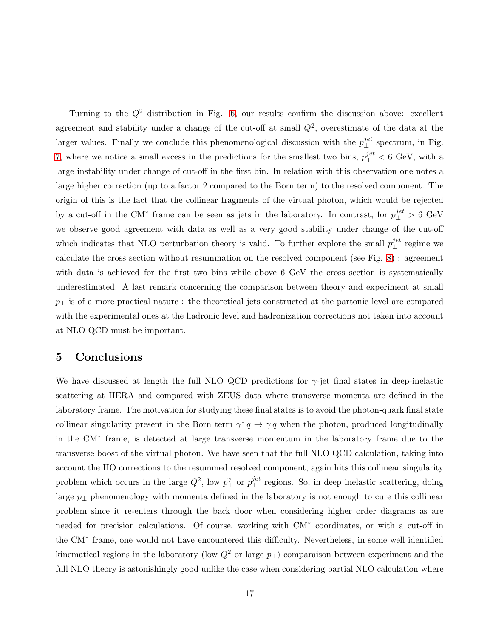Turning to the  $Q^2$  distribution in Fig. 6, our results confirm the discussion above: excellent agreement and stability under a change of the cut-off at small  $Q^2$ , overestimate of the data at the larger values. Finally we conclude this phenomenological discussion with the  $p_{\perp}^{jet}$  spectrum, in Fig. 7, where we notice a small excess in the predictions for the smallest two bins,  $p_{\perp}^{jet} < 6 \text{ GeV}$ , with a large instability under change of cut-off in the first bin. In relation with this observation one notes a large higher correction (up to a factor 2 compared to the Born term) to the resolved component. The origin of this is the fact that the collinear fragments of the virtual photon, which would be rejected by a cut-off in the CM<sup>\*</sup> frame can be seen as jets in the laboratory. In contrast, for  $p_{\perp}^{jet} > 6 \text{ GeV}$ we observe good agreement with data as well as a very good stability under change of the cut-off which indicates that NLO perturbation theory is valid. To further explore the small  $p_{\perp}^{jet}$  regime we calculate the cross section without resummation on the resolved component (see Fig. 8) : agreement with data is achieved for the first two bins while above 6 GeV the cross section is systematically underestimated. A last remark concerning the comparison between theory and experiment at small  $p_{\perp}$  is of a more practical nature : the theoretical jets constructed at the partonic level are compared with the experimental ones at the hadronic level and hadronization corrections not taken into account at NLO QCD must be important.

## 5 Conclusions

We have discussed at length the full NLO QCD predictions for  $\gamma$ -jet final states in deep-inelastic scattering at HERA and compared with ZEUS data where transverse momenta are defined in the laboratory frame. The motivation for studying these final states is to avoid the photon-quark final state collinear singularity present in the Born term  $\gamma^* q \to \gamma q$  when the photon, produced longitudinally in the CM<sup>∗</sup> frame, is detected at large transverse momentum in the laboratory frame due to the transverse boost of the virtual photon. We have seen that the full NLO QCD calculation, taking into account the HO corrections to the resummed resolved component, again hits this collinear singularity problem which occurs in the large  $Q^2$ , low  $p_\perp^{\gamma}$  or  $p_\perp^{jet}$  regions. So, in deep inelastic scattering, doing large  $p_{\perp}$  phenomenology with momenta defined in the laboratory is not enough to cure this collinear problem since it re-enters through the back door when considering higher order diagrams as are needed for precision calculations. Of course, working with CM<sup>∗</sup> coordinates, or with a cut-off in the CM<sup>∗</sup> frame, one would not have encountered this difficulty. Nevertheless, in some well identified kinematical regions in the laboratory (low  $Q^2$  or large  $p_{\perp}$ ) comparaison between experiment and the full NLO theory is astonishingly good unlike the case when considering partial NLO calculation where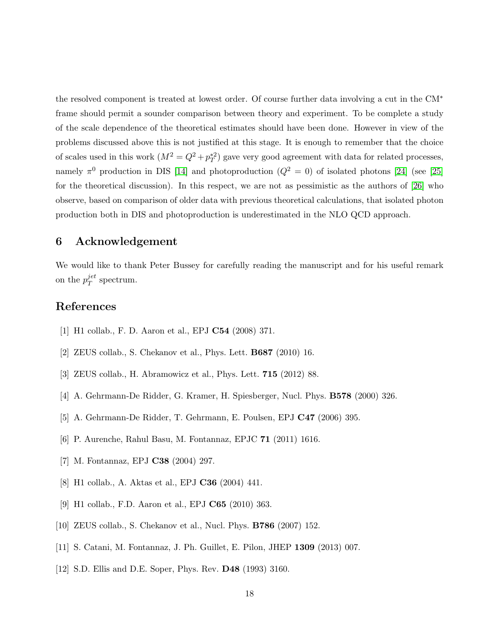the resolved component is treated at lowest order. Of course further data involving a cut in the CM<sup>∗</sup> frame should permit a sounder comparison between theory and experiment. To be complete a study of the scale dependence of the theoretical estimates should have been done. However in view of the problems discussed above this is not justified at this stage. It is enough to remember that the choice of scales used in this work  $(M^2 = Q^2 + p_T^{*2})$  gave very good agreement with data for related processes, namely  $\pi^0$  production in DIS [14] and photoproduction  $(Q^2 = 0)$  of isolated photons [24] (see [25] for the theoretical discussion). In this respect, we are not as pessimistic as the authors of [26] who observe, based on comparison of older data with previous theoretical calculations, that isolated photon production both in DIS and photoproduction is underestimated in the NLO QCD approach.

## 6 Acknowledgement

We would like to thank Peter Bussey for carefully reading the manuscript and for his useful remark on the  $p_T^{jet}$  $T^{et}$  spectrum.

# <span id="page-18-0"></span>References

- [1] H1 collab., F. D. Aaron et al., EPJ C54 (2008) 371.
- [2] ZEUS collab., S. Chekanov et al., Phys. Lett. B687 (2010) 16.
- [3] ZEUS collab., H. Abramowicz et al., Phys. Lett. 715 (2012) 88.
- [4] A. Gehrmann-De Ridder, G. Kramer, H. Spiesberger, Nucl. Phys. B578 (2000) 326.
- [5] A. Gehrmann-De Ridder, T. Gehrmann, E. Poulsen, EPJ C47 (2006) 395.
- [6] P. Aurenche, Rahul Basu, M. Fontannaz, EPJC 71 (2011) 1616.
- <span id="page-18-1"></span>[7] M. Fontannaz, EPJ C38 (2004) 297.
- <span id="page-18-2"></span>[8] H1 collab., A. Aktas et al., EPJ C36 (2004) 441.
- <span id="page-18-3"></span>[9] H1 collab., F.D. Aaron et al., EPJ C65 (2010) 363.
- [10] ZEUS collab., S. Chekanov et al., Nucl. Phys. B786 (2007) 152.
- [11] S. Catani, M. Fontannaz, J. Ph. Guillet, E. Pilon, JHEP 1309 (2013) 007.
- [12] S.D. Ellis and D.E. Soper, Phys. Rev. D48 (1993) 3160.